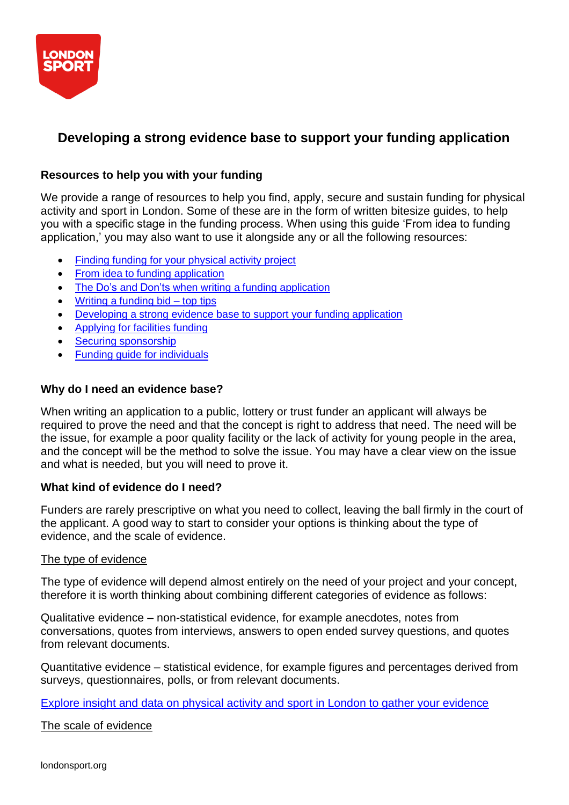

# **Developing a strong evidence base to support your funding application**

# **Resources to help you with your funding**

We provide a range of resources to help you find, apply, secure and sustain funding for physical activity and sport in London. Some of these are in the form of written bitesize guides, to help you with a specific stage in the funding process. When using this guide 'From idea to funding application,' you may also want to use it alongside any or all the following resources:

- Finding funding for your [physical activity](https://londonsport.org/search-for-funding/) project
- From idea to funding [application](https://londonsport.org/funding-support/)
- The Do's and Don'ts when writing a funding [application](https://londonsport.org/funding-support/)
- Writing a [funding](https://londonsport.org/funding-bids/) bid top tips
- [Developing a](https://londonsport.org/funding-support/) strong evidence base to support your funding application
- [Applying](https://londonsport.org/applying-for-facilities-funding) for facilities funding
- **Securing [sponsorship](https://londonsport.org/securing-sponsorship)**
- Funding guide for [individuals](https://londonsport.org/funding-support/)

# **Why do I need an evidence base?**

When writing an application to a public, lottery or trust funder an applicant will always be required to prove the need and that the concept is right to address that need. The need will be the issue, for example a poor quality facility or the lack of activity for young people in the area, and the concept will be the method to solve the issue. You may have a clear view on the issue and what is needed, but you will need to prove it.

# **What kind of evidence do I need?**

Funders are rarely prescriptive on what you need to collect, leaving the ball firmly in the court of the applicant. A good way to start to consider your options is thinking about the type of evidence, and the scale of evidence.

# The type of evidence

The type of evidence will depend almost entirely on the need of your project and your concept, therefore it is worth thinking about combining different categories of evidence as follows:

Qualitative evidence – non-statistical evidence, for example anecdotes, notes from conversations, quotes from interviews, answers to open ended survey questions, and quotes from relevant documents.

Quantitative evidence – statistical evidence, for example figures and percentages derived from surveys, questionnaires, polls, or from relevant documents.

Explore insight and data on physical activity and sport in London to gather your [evidence](https://data.londonsport.org/)

# The scale of evidence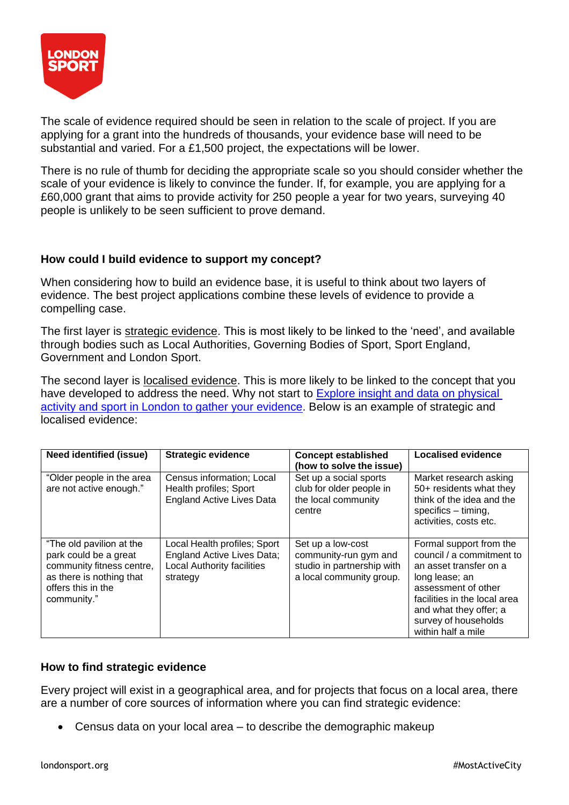

The scale of evidence required should be seen in relation to the scale of project. If you are applying for a grant into the hundreds of thousands, your evidence base will need to be substantial and varied. For a £1,500 project, the expectations will be lower.

There is no rule of thumb for deciding the appropriate scale so you should consider whether the scale of your evidence is likely to convince the funder. If, for example, you are applying for a £60,000 grant that aims to provide activity for 250 people a year for two years, surveying 40 people is unlikely to be seen sufficient to prove demand.

#### **How could I build evidence to support my concept?**

When considering how to build an evidence base, it is useful to think about two layers of evidence. The best project applications combine these levels of evidence to provide a compelling case.

The first layer is strategic evidence. This is most likely to be linked to the 'need', and available through bodies such as Local Authorities, Governing Bodies of Sport, Sport England, Government and London Sport.

The second layer is localised evidence. This is more likely to be linked to the concept that you have developed to address the need. Why not start to Explore insight and data on [physical](https://data.londonsport.org/) activity and sport in London to gather your [evidence.](https://data.londonsport.org/) Below is an example of strategic and localised evidence:

| <b>Need identified (issue)</b>                                                                                                                  | <b>Strategic evidence</b>                                                                                   | <b>Concept established</b><br>(how to solve the issue)                                               | <b>Localised evidence</b>                                                                                                                                                                                                       |
|-------------------------------------------------------------------------------------------------------------------------------------------------|-------------------------------------------------------------------------------------------------------------|------------------------------------------------------------------------------------------------------|---------------------------------------------------------------------------------------------------------------------------------------------------------------------------------------------------------------------------------|
| "Older people in the area<br>are not active enough."                                                                                            | Census information; Local<br>Health profiles; Sport<br><b>England Active Lives Data</b>                     | Set up a social sports<br>club for older people in<br>the local community<br>centre                  | Market research asking<br>50+ residents what they<br>think of the idea and the<br>specifics - timing,<br>activities, costs etc.                                                                                                 |
| "The old pavilion at the<br>park could be a great<br>community fitness centre,<br>as there is nothing that<br>offers this in the<br>community." | Local Health profiles; Sport<br>England Active Lives Data;<br><b>Local Authority facilities</b><br>strategy | Set up a low-cost<br>community-run gym and<br>studio in partnership with<br>a local community group. | Formal support from the<br>council / a commitment to<br>an asset transfer on a<br>long lease; an<br>assessment of other<br>facilities in the local area<br>and what they offer; a<br>survey of households<br>within half a mile |

# **How to find strategic evidence**

Every project will exist in a geographical area, and for projects that focus on a local area, there are a number of core sources of information where you can find strategic evidence:

• Census data on your local area – to describe the demographic makeup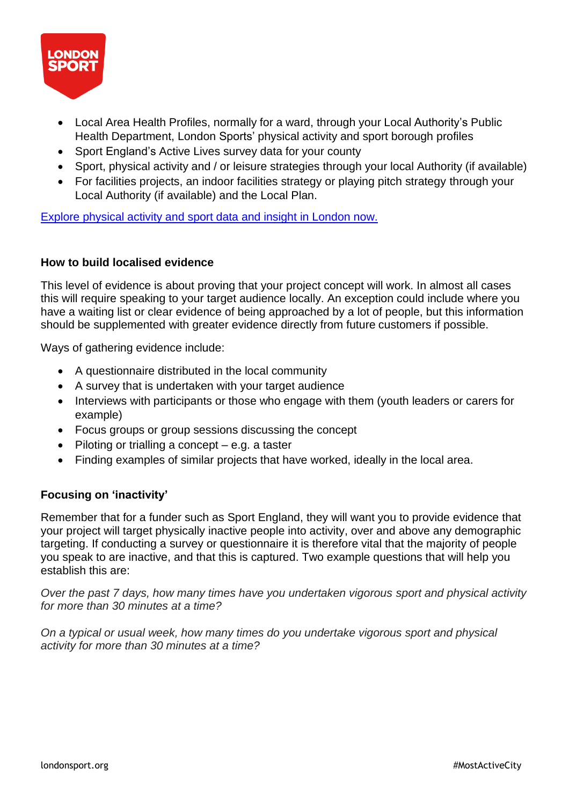

- Local Area Health Profiles, normally for a ward, through your Local Authority's Public Health Department, London Sports' physical activity and sport borough profiles
- Sport England's Active Lives survey data for your county
- Sport, physical activity and / or leisure strategies through your local Authority (if available)
- For facilities projects, an indoor facilities strategy or playing pitch strategy through your Local Authority (if available) and the Local Plan.

Explore [physical](https://data.londonsport.org/) activity and sport data and insight in London now.

#### **How to build localised evidence**

This level of evidence is about proving that your project concept will work. In almost all cases this will require speaking to your target audience locally. An exception could include where you have a waiting list or clear evidence of being approached by a lot of people, but this information should be supplemented with greater evidence directly from future customers if possible.

Ways of gathering evidence include:

- A questionnaire distributed in the local community
- A survey that is undertaken with your target audience
- Interviews with participants or those who engage with them (youth leaders or carers for example)
- Focus groups or group sessions discussing the concept
- Piloting or trialling a concept  $-$  e.g. a taster
- Finding examples of similar projects that have worked, ideally in the local area.

# **Focusing on 'inactivity'**

Remember that for a funder such as Sport England, they will want you to provide evidence that your project will target physically inactive people into activity, over and above any demographic targeting. If conducting a survey or questionnaire it is therefore vital that the majority of people you speak to are inactive, and that this is captured. Two example questions that will help you establish this are:

*Over the past 7 days, how many times have you undertaken vigorous sport and physical activity for more than 30 minutes at a time?*

*On a typical or usual week, how many times do you undertake vigorous sport and physical activity for more than 30 minutes at a time?*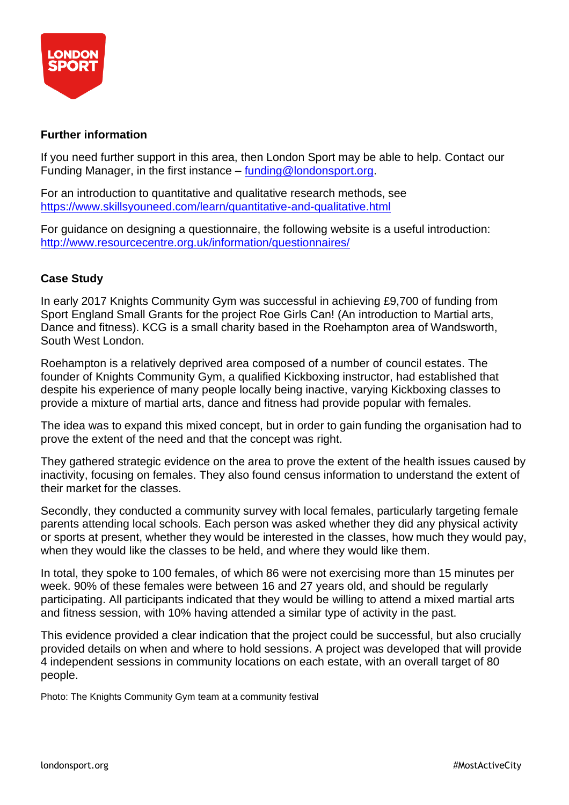

#### **Further information**

If you need further support in this area, then London Sport may be able to help. Contact our Funding Manager, in the first instance – [funding@londonsport.org.](mailto:funding@londonsport.org)

For an introduction to quantitative and qualitative research methods, see <https://www.skillsyouneed.com/learn/quantitative-and-qualitative.html>

For guidance on designing a questionnaire, the following website is a useful introduction: <http://www.resourcecentre.org.uk/information/questionnaires/>

# **Case Study**

In early 2017 Knights Community Gym was successful in achieving £9,700 of funding from Sport England Small Grants for the project Roe Girls Can! (An introduction to Martial arts, Dance and fitness). KCG is a small charity based in the Roehampton area of Wandsworth, South West London.

Roehampton is a relatively deprived area composed of a number of council estates. The founder of Knights Community Gym, a qualified Kickboxing instructor, had established that despite his experience of many people locally being inactive, varying Kickboxing classes to provide a mixture of martial arts, dance and fitness had provide popular with females.

The idea was to expand this mixed concept, but in order to gain funding the organisation had to prove the extent of the need and that the concept was right.

They gathered strategic evidence on the area to prove the extent of the health issues caused by inactivity, focusing on females. They also found census information to understand the extent of their market for the classes.

Secondly, they conducted a community survey with local females, particularly targeting female parents attending local schools. Each person was asked whether they did any physical activity or sports at present, whether they would be interested in the classes, how much they would pay, when they would like the classes to be held, and where they would like them.

In total, they spoke to 100 females, of which 86 were not exercising more than 15 minutes per week. 90% of these females were between 16 and 27 years old, and should be regularly participating. All participants indicated that they would be willing to attend a mixed martial arts and fitness session, with 10% having attended a similar type of activity in the past.

This evidence provided a clear indication that the project could be successful, but also crucially provided details on when and where to hold sessions. A project was developed that will provide 4 independent sessions in community locations on each estate, with an overall target of 80 people.

Photo: The Knights Community Gym team at a community festival